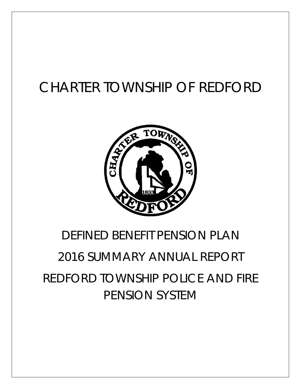## CHARTER TOWNSHIP OF REDFORD



## DEFINED BENEFIT PENSION PLAN

# 2016 SUMMARY ANNUAL REPORT REDFORD TOWNSHIP POLICE AND FIRE PENSION SYSTEM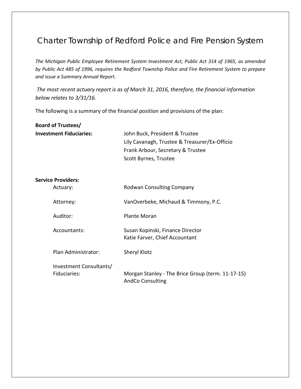### Charter Township of Redford Police and Fire Pension System

*The Michigan Public Employee Retirement System Investment Act, Public Act 314 of 1965, as amended by Public Act 485 of 1996, requires the Redford Township Police and Fire Retirement System to prepare and issue a Summary Annual Report.* 

*The most recent actuary report is as of March 31, 2016, therefore, the financial information below relates to 3/31/16.*

The following is a summary of the financial position and provisions of the plan:

| <b>Board of Trustees/</b>               |                                                                                                                                               |
|-----------------------------------------|-----------------------------------------------------------------------------------------------------------------------------------------------|
| <b>Investment Fiduciaries:</b>          | John Buck, President & Trustee<br>Lily Cavanagh, Trustee & Treasurer/Ex-Officio<br>Frank Arbour, Secretary & Trustee<br>Scott Byrnes, Trustee |
| <b>Service Providers:</b>               |                                                                                                                                               |
| Actuary:                                | <b>Rodwan Consulting Company</b>                                                                                                              |
| Attorney:                               | VanOverbeke, Michaud & Timmony, P.C.                                                                                                          |
| Auditor:                                | <b>Plante Moran</b>                                                                                                                           |
| Accountants:                            | Susan Kopinski, Finance Director<br>Katie Farver, Chief Accountant                                                                            |
| Plan Administrator:                     | Sheryl Klotz                                                                                                                                  |
| Investment Consultants/<br>Fiduciaries: | Morgan Stanley - The Brice Group (term. 11-17-15)<br><b>AndCo Consulting</b>                                                                  |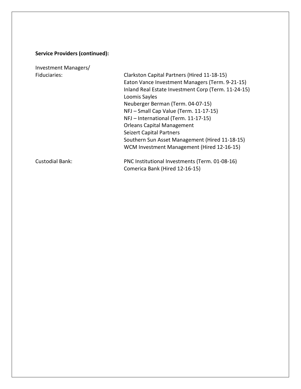### **Service Providers (continued):**

Investment Managers/

Fiduciaries: Clarkston Capital Partners (Hired 11-18-15) Eaton Vance Investment Managers (Term. 9-21-15) Inland Real Estate Investment Corp (Term. 11-24-15) Loomis Sayles Neuberger Berman (Term. 04-07-15) NFJ – Small Cap Value (Term. 11-17-15) NFJ – International (Term. 11-17-15) Orleans Capital Management Seizert Capital Partners Southern Sun Asset Management (Hired 11-18-15) WCM Investment Management (Hired 12-16-15)

Custodial Bank: PNC Institutional Investments (Term. 01-08-16) Comerica Bank (Hired 12-16-15)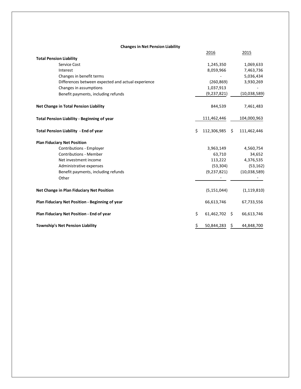| <b>Changes in Net Pension Liability</b> |  |  |  |
|-----------------------------------------|--|--|--|
|-----------------------------------------|--|--|--|

|                                                    |    | 2016           | 2015          |
|----------------------------------------------------|----|----------------|---------------|
| <b>Total Pension Liability</b>                     |    |                |               |
| <b>Service Cost</b>                                |    | 1,245,350      | 1,069,633     |
| Interest                                           |    | 8,059,966      | 7,463,736     |
| Changes in benefit terms                           |    |                | 5,036,434     |
| Differences between expected and actual experience |    | (260, 869)     | 3,930,269     |
| Changes in assumptions                             |    | 1,037,913      |               |
| Benefit payments, including refunds                |    | (9, 237, 821)  | (10,038,589)  |
| Net Change in Total Pension Liability              |    | 844,539        | 7,461,483     |
| <b>Total Pension Liability - Beginning of year</b> |    | 111,462,446    | 104,000,963   |
| Total Pension Liability - End of year              | Ś  | 112,306,985 \$ | 111,462,446   |
| <b>Plan Fiduciary Net Position</b>                 |    |                |               |
| Contributions - Employer                           |    | 3,963,149      | 4,560,754     |
| <b>Contributions - Member</b>                      |    | 63,710         | 34,652        |
| Net investment income                              |    | 113,222        | 4,376,535     |
| Administrative expenses                            |    | (53, 304)      | (53, 162)     |
| Benefit payments, including refunds                |    | (9, 237, 821)  | (10,038,589)  |
| Other                                              |    |                |               |
| Net Change in Plan Fiduciary Net Position          |    | (5, 151, 044)  | (1, 119, 810) |
| Plan Fiduciary Net Position - Beginning of year    |    | 66,613,746     | 67,733,556    |
| Plan Fiduciary Net Position - End of year          | \$ | 61,462,702 \$  | 66,613,746    |
| <b>Township's Net Pension Liability</b>            | \$ | 50,844,283 \$  | 44,848,700    |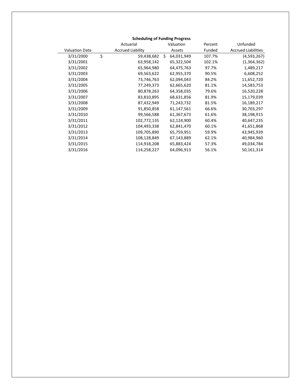| <b>Scheduling of Funding Progress</b> |    |                          |    |            |  |         |                            |  |
|---------------------------------------|----|--------------------------|----|------------|--|---------|----------------------------|--|
|                                       |    | Actuarial                |    | Valuation  |  | Percent | Unfunded                   |  |
| <b>Valuation Date</b>                 |    | <b>Accrued Liability</b> |    | Assets     |  | Funded  | <b>Accrued Liabilities</b> |  |
| 3/31/2000                             | \$ | 59,438,682               | Ś. | 64,031,949 |  | 107.7%  | (4,593,267)                |  |
| 3/31/2001                             |    | 63,958,142               |    | 65,322,504 |  | 102.1%  | (1,364,362)                |  |
| 3/31/2002                             |    | 65,964,980               |    | 64,475,763 |  | 97.7%   | 1,489,217                  |  |
| 3/31/2003                             |    | 69,563,622               |    | 62,955,370 |  | 90.5%   | 6,608,252                  |  |
| 3/31/2004                             |    | 73,746,763               |    | 62,094,043 |  | 84.2%   | 11,652,720                 |  |
| 3/31/2005                             |    | 77,249,373               |    | 62,665,620 |  | 81.1%   | 14,583,753                 |  |
| 3/31/2006                             |    | 80,878,263               |    | 64,358,035 |  | 79.6%   | 16,520,228                 |  |
| 3/31/2007                             |    | 83,810,895               |    | 68,631,856 |  | 81.9%   | 15,179,039                 |  |
| 3/31/2008                             |    | 87,432,949               |    | 71,243,732 |  | 81.5%   | 16,189,217                 |  |
| 3/31/2009                             |    | 91,850,858               |    | 61,147,561 |  | 66.6%   | 30,703,297                 |  |
| 3/31/2010                             |    | 99,566,588               |    | 61,367,673 |  | 61.6%   | 38,198,915                 |  |
| 3/31/2011                             |    | 102,772,135              |    | 62,124,900 |  | 60.4%   | 40,647,235                 |  |
| 3/31/2012                             |    | 104,493,338              |    | 62,841,470 |  | 60.1%   | 41,651,868                 |  |
| 3/31/2013                             |    | 109,705,890              |    | 65,759,951 |  | 59.9%   | 43,945,939                 |  |
| 3/31/2014                             |    | 108,128,849              |    | 67,143,889 |  | 62.1%   | 40,984,960                 |  |
| 3/31/2015                             |    | 114,918,208              |    | 65,883,424 |  | 57.3%   | 49,034,784                 |  |
| 3/31/2016                             |    | 114,258,227              |    | 64,096,913 |  | 56.1%   | 50,161,314                 |  |
|                                       |    |                          |    |            |  |         |                            |  |